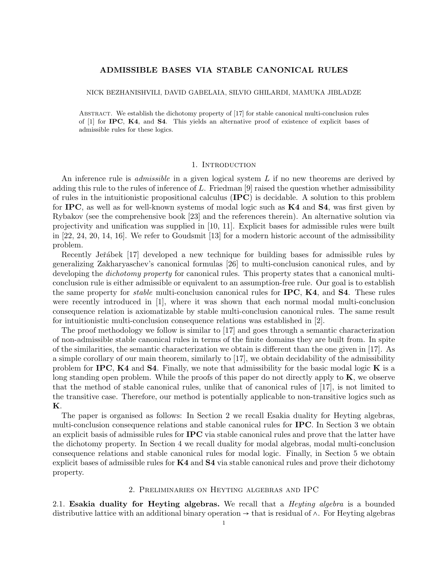# ADMISSIBLE BASES VIA STABLE CANONICAL RULES

### NICK BEZHANISHVILI, DAVID GABELAIA, SILVIO GHILARDI, MAMUKA JIBLADZE

Abstract. We establish the dichotomy property of [17] for stable canonical multi-conclusion rules of [1] for IPC, K4, and S4. This yields an alternative proof of existence of explicit bases of admissible rules for these logics.

### 1. INTRODUCTION

An inference rule is *admissible* in a given logical system L if no new theorems are derived by adding this rule to the rules of inference of  $L$ . Friedman [9] raised the question whether admissibility of rules in the intuitionistic propositional calculus (IPC) is decidable. A solution to this problem for IPC, as well as for well-known systems of modal logic such as  $K4$  and  $S4$ , was first given by Rybakov (see the comprehensive book [23] and the references therein). An alternative solution via projectivity and unification was supplied in [10, 11]. Explicit bases for admissible rules were built in [22, 24, 20, 14, 16]. We refer to Goudsmit [13] for a modern historic account of the admissibility problem.

Recently Jeřábek [17] developed a new technique for building bases for admissible rules by generalizing Zakharyaschev's canonical formulas [26] to multi-conclusion canonical rules, and by developing the *dichotomy property* for canonical rules. This property states that a canonical multiconclusion rule is either admissible or equivalent to an assumption-free rule. Our goal is to establish the same property for *stable* multi-conclusion canonical rules for **IPC**, **K4**, and **S4**. These rules were recently introduced in [1], where it was shown that each normal modal multi-conclusion consequence relation is axiomatizable by stable multi-conclusion canonical rules. The same result for intuitionistic multi-conclusion consequence relations was established in [2].

The proof methodology we follow is similar to [17] and goes through a semantic characterization of non-admissible stable canonical rules in terms of the finite domains they are built from. In spite of the similarities, the semantic characterization we obtain is different than the one given in [17]. As a simple corollary of our main theorem, similarly to [17], we obtain decidability of the admissibility problem for IPC,  $K4$  and S4. Finally, we note that admissibility for the basic modal logic K is a long standing open problem. While the proofs of this paper do not directly apply to  $K$ , we observe that the method of stable canonical rules, unlike that of canonical rules of [17], is not limited to the transitive case. Therefore, our method is potentially applicable to non-transitive logics such as K.

The paper is organised as follows: In Section 2 we recall Esakia duality for Heyting algebras, multi-conclusion consequence relations and stable canonical rules for IPC. In Section 3 we obtain an explicit basis of admissible rules for IPC via stable canonical rules and prove that the latter have the dichotomy property. In Section 4 we recall duality for modal algebras, modal multi-conclusion consequence relations and stable canonical rules for modal logic. Finally, in Section 5 we obtain explicit bases of admissible rules for  $K4$  and  $S4$  via stable canonical rules and prove their dichotomy property.

### 2. Preliminaries on Heyting algebras and IPC

2.1. Esakia duality for Heyting algebras. We recall that a *Heyting algebra* is a bounded distributive lattice with an additional binary operation → that is residual of ∧. For Heyting algebras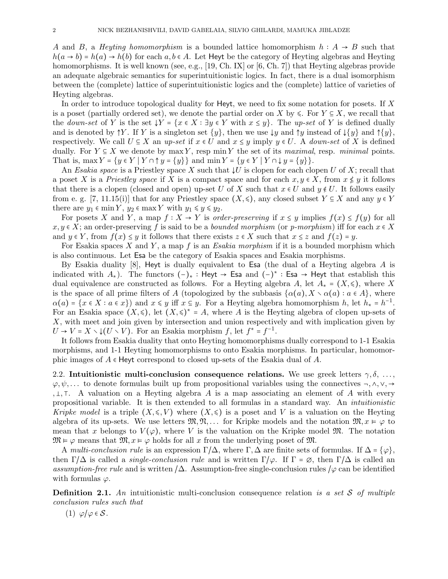A and B, a Heyting homomorphism is a bounded lattice homomorphism  $h : A \rightarrow B$  such that  $h(a \rightarrow b) = h(a) \rightarrow h(b)$  for each  $a, b \in A$ . Let Heyt be the category of Heyting algebras and Heyting homomorphisms. It is well known (see, e.g., [19, Ch. IX] or [6, Ch. 7]) that Heyting algebras provide an adequate algebraic semantics for superintuitionistic logics. In fact, there is a dual isomorphism between the (complete) lattice of superintuitionistic logics and the (complete) lattice of varieties of Heyting algebras.

In order to introduce topological duality for Heyt, we need to fix some notation for posets. If  $X$ is a poset (partially ordered set), we denote the partial order on X by  $\leq$ . For  $Y \subseteq X$ , we recall that the down-set of Y is the set  $\downarrow Y = \{x \in X : \exists y \in Y \text{ with } x \leq y\}$ . The up-set of Y is defined dually and is denoted by  $\uparrow Y$ . If Y is a singleton set  $\{y\}$ , then we use  $\downarrow y$  and  $\uparrow y$  instead of  $\downarrow \{y\}$  and  $\uparrow \{y\}$ , respectively. We call  $U \subseteq X$  an up-set if  $x \in U$  and  $x \leq y$  imply  $y \in U$ . A down-set of X is defined dually. For  $Y \subseteq X$  we denote by max Y, resp min Y the set of its maximal, resp. minimal points. That is, max  $Y = \{y \in Y \mid Y \cap \uparrow y = \{y\}\}\$  and  $\min Y = \{y \in Y \mid Y \cap \downarrow y = \{y\}\}.$ 

An Esakia space is a Priestley space X such that  $\downarrow U$  is clopen for each clopen U of X; recall that a poset X is a Priestley space if X is a compact space and for each  $x, y \in X$ , from  $x \nleq y$  it follows that there is a clopen (closed and open) up-set U of X such that  $x \in U$  and  $y \notin U$ . It follows easily from e. g. [7, 11.15(i)] that for any Priestley space  $(X, \leq)$ , any closed subset  $Y \subseteq X$  and any  $y \in Y$ there are  $y_1 \in \min Y$ ,  $y_2 \in \max Y$  with  $y_1 \leq y \leq y_2$ .

For posets X and Y, a map  $f: X \to Y$  is order-preserving if  $x \leq y$  implies  $f(x) \leq f(y)$  for all  $x, y \in X$ ; an order-preserving f is said to be a *bounded morphism* (or p-morphism) iff for each  $x \in X$ and  $y \in Y$ , from  $f(x) \leq y$  it follows that there exists  $z \in X$  such that  $x \leq z$  and  $f(z) = y$ .

For Esakia spaces X and Y, a map f is an Esakia morphism if it is a bounded morphism which is also continuous. Let Esa be the category of Esakia spaces and Esakia morphisms.

By Esakia duality  $[8]$ , Heyt is dually equivalent to Esa (the dual of a Heyting algebra A is indicated with  $A_*$ ). The functors  $(-)_*$ : Heyt → Esa and  $(-)^*$ : Esa → Heyt that establish this dual equivalence are constructed as follows. For a Heyting algebra A, let  $A_* = (X, \leq)$ , where X is the space of all prime filters of A (topologized by the subbasis  $\{\alpha(a), X \setminus \alpha(a) : a \in A\}$ , where  $\alpha(a) = \{x \in X : a \in x\}$  and  $x \leq y$  iff  $x \subseteq y$ . For a Heyting algebra homomorphism h, let  $h_* = h^{-1}$ . For an Esakia space  $(X, \leq)$ , let  $(X, \leq)^* = A$ , where A is the Heyting algebra of clopen up-sets of X, with meet and join given by intersection and union respectively and with implication given by  $U \to V = X \setminus (U \setminus V)$ . For an Esakia morphism f, let  $f^* = f^{-1}$ .

It follows from Esakia duality that onto Heyting homomorphisms dually correspond to 1-1 Esakia morphisms, and 1-1 Heyting homomorphisms to onto Esakia morphisms. In particular, homomorphic images of  $A \in$  Heyt correspond to closed up-sets of the Esakia dual of A.

2.2. Intuitionistic multi-conclusion consequence relations. We use greek letters  $\gamma, \delta, \ldots$  $\varphi, \psi, \ldots$  to denote formulas built up from propositional variables using the connectives  $\neg, \wedge, \vee, \rightarrow$ ,  $\perp$ ,  $\perp$ . A valuation on a Heyting algebra A is a map associating an element of A with every propositional variable. It is then extended to all formulas in a standard way. An intuitionistic Kripke model is a triple  $(X, \leqslant, V)$  where  $(X, \leqslant)$  is a poset and V is a valuation on the Heyting algebra of its up-sets. We use letters  $\mathfrak{M}, \mathfrak{N}, \ldots$  for Kripke models and the notation  $\mathfrak{M}, x \vDash \varphi$  to mean that x belongs to  $V(\varphi)$ , where V is the valuation on the Kripke model M. The notation  $\mathfrak{M} \models \varphi$  means that  $\mathfrak{M}, x \models \varphi$  holds for all x from the underlying poset of  $\mathfrak{M}$ .

A multi-conclusion rule is an expression  $\Gamma/\Delta$ , where  $\Gamma, \Delta$  are finite sets of formulas. If  $\Delta = {\varphi},$ then  $\Gamma/\Delta$  is called a *single-conclusion rule* and is written  $\Gamma/\varphi$ . If  $\Gamma = \varnothing$ , then  $\Gamma/\Delta$  is called an assumption-free rule and is written  $/\Delta$ . Assumption-free single-conclusion rules  $/\varphi$  can be identified with formulas  $\varphi$ .

**Definition 2.1.** An intuitionistic multi-conclusion consequence relation is a set S of multiple conclusion rules such that

$$
(1) \varphi/\varphi \in \mathcal{S}.
$$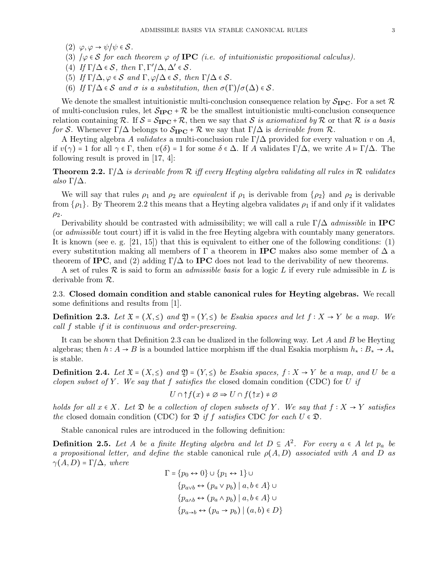- (2)  $\varphi, \varphi \to \psi/\psi \in \mathcal{S}$ .
- (3)  $\varphi \in S$  for each theorem  $\varphi$  of **IPC** (i.e. of intuitionistic propositional calculus).
- (4) If  $\Gamma/\Delta \in S$ , then  $\Gamma, \Gamma'/\Delta, \Delta' \in S$ .
- (5) If  $\Gamma/\Delta$ ,  $\varphi \in \mathcal{S}$  and  $\Gamma$ ,  $\varphi/\Delta \in \mathcal{S}$ , then  $\Gamma/\Delta \in \mathcal{S}$ .
- (6) If  $\Gamma/\Delta \in \mathcal{S}$  and  $\sigma$  is a substitution, then  $\sigma(\Gamma)/\sigma(\Delta) \in \mathcal{S}$ .

We denote the smallest intuitionistic multi-conclusion consequence relation by  $S_{\text{IPC}}$ . For a set R of multi-conclusion rules, let  $S_{\text{IPC}} + \mathcal{R}$  be the smallest intuitionistic multi-conclusion consequence relation containing R. If  $S = S_{\text{IPC}} + \mathcal{R}$ , then we say that S is axiomatized by R or that R is a basis for S. Whenever  $\Gamma/\Delta$  belongs to  $S_{\text{IPC}}$  + R we say that  $\Gamma/\Delta$  is derivable from R.

A Heyting algebra A validates a multi-conclusion rule  $\Gamma/\Delta$  provided for every valuation v on A, if  $v(\gamma) = 1$  for all  $\gamma \in \Gamma$ , then  $v(\delta) = 1$  for some  $\delta \in \Delta$ . If A validates  $\Gamma/\Delta$ , we write  $A \models \Gamma/\Delta$ . The following result is proved in [17, 4]:

**Theorem 2.2.** Γ/ $\Delta$  is derivable from R iff every Heyting algebra validating all rules in R validates also Γ $/Δ$ .

We will say that rules  $\rho_1$  and  $\rho_2$  are *equivalent* if  $\rho_1$  is derivable from  $\{\rho_2\}$  and  $\rho_2$  is derivable from  $\{\rho_1\}$ . By Theorem 2.2 this means that a Heyting algebra validates  $\rho_1$  if and only if it validates  $\rho_2$ .

Derivability should be contrasted with admissibility; we will call a rule  $\Gamma/\Delta$  admissible in **IPC** (or admissible tout court) iff it is valid in the free Heyting algebra with countably many generators. It is known (see e. g. [21, 15]) that this is equivalent to either one of the following conditions: (1) every substitution making all members of  $\Gamma$  a theorem in **IPC** makes also some member of  $\Delta$  a theorem of **IPC**, and (2) adding  $\Gamma/\Delta$  to **IPC** does not lead to the derivability of new theorems.

A set of rules  $\mathcal R$  is said to form an *admissible basis* for a logic L if every rule admissible in L is derivable from R.

2.3. Closed domain condition and stable canonical rules for Heyting algebras. We recall some definitions and results from [1].

**Definition 2.3.** Let  $\mathfrak{X} = (X, \leq)$  and  $\mathfrak{Y} = (Y, \leq)$  be Esakia spaces and let  $f : X → Y$  be a map. We call f stable if it is continuous and order-preserving.

It can be shown that Definition 2.3 can be dualized in the following way. Let A and B be Heyting algebras; then  $h: A \to B$  is a bounded lattice morphism iff the dual Esakia morphism  $h_*: B_* \to A_*$ is stable.

**Definition 2.4.** Let  $\mathfrak{X} = (X, \leq)$  and  $\mathfrak{Y} = (Y, \leq)$  be Esakia spaces,  $f : X \to Y$  be a map, and U be a clopen subset of Y. We say that f satisfies the closed domain condition (CDC) for U if

$$
U \cap \uparrow f(x) \neq \varnothing \Rightarrow U \cap f(\uparrow x) \neq \varnothing
$$

holds for all  $x \in X$ . Let  $\mathfrak{D}$  be a collection of clopen subsets of Y. We say that  $f : X \to Y$  satisfies the closed domain condition (CDC) for  $\mathfrak{D}$  if f satisfies CDC for each  $U \in \mathfrak{D}$ .

Stable canonical rules are introduced in the following definition:

**Definition 2.5.** Let A be a finite Heyting algebra and let  $D \subseteq A^2$ . For every  $a \in A$  let  $p_a$  be a propositional letter, and define the stable canonical rule  $\rho(A, D)$  associated with A and D as  $\gamma(A, D) = \Gamma/\Delta$ , where

$$
\Gamma = \{p_0 \leftrightarrow 0\} \cup \{p_1 \leftrightarrow 1\} \cup
$$
  

$$
\{p_{a \lor b} \leftrightarrow (p_a \lor p_b) \mid a, b \in A\} \cup
$$
  

$$
\{p_{a \land b} \leftrightarrow (p_a \land p_b) \mid a, b \in A\} \cup
$$
  

$$
\{p_{a \to b} \leftrightarrow (p_a \to p_b) \mid (a, b) \in D\}
$$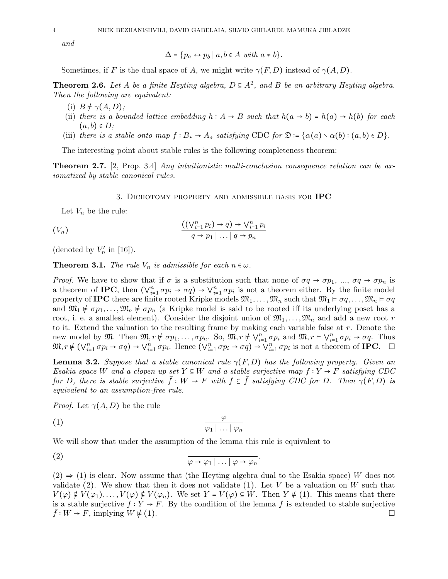and

$$
\Delta = \{p_a \leftrightarrow p_b \mid a, b \in A \text{ with } a \neq b\}.
$$

Sometimes, if F is the dual space of A, we might write  $\gamma(F, D)$  instead of  $\gamma(A, D)$ .

**Theorem 2.6.** Let A be a finite Heyting algebra,  $D \subseteq A^2$ , and B be an arbitrary Heyting algebra. Then the following are equivalent:

- (i)  $B \not\models \gamma(A, D)$ ;
- (ii) there is a bounded lattice embedding  $h: A \rightarrow B$  such that  $h(a \rightarrow b) = h(a) \rightarrow h(b)$  for each  $(a, b) \in D$ ;
- (iii) there is a stable onto map  $f : B_* \to A_*$  satisfying CDC for  $\mathfrak{D} = {\alpha(a) \cdot \alpha(b) : (a, b) \in D}.$

The interesting point about stable rules is the following completeness theorem:

**Theorem 2.7.** [2, Prop. 3.4] Any intuitionistic multi-conclusion consequence relation can be axiomatized by stable canonical rules.

3. DICHOTOMY PROPERTY AND ADMISSIBLE BASIS FOR IPC

Let  $V_n$  be the rule:

$$
((V_n) \qquad \qquad \frac{((\vee_{i=1}^n p_i) \to q) \to \vee_{i=1}^n p_i}{q \to p_1 \mid \dots \mid q \to p_n}
$$

(denoted by  $V'_n$  in [16]).

**Theorem 3.1.** The rule  $V_n$  is admissible for each  $n \in \omega$ .

*Proof.* We have to show that if  $\sigma$  is a substitution such that none of  $\sigma q \to \sigma p_1$ , ...,  $\sigma q \to \sigma p_n$  is a theorem of IPC, then  $(\vee_{i=1}^{n} \sigma p_i \to \sigma q) \to \vee_{i=1}^{n} \sigma p_i$  is not a theorem either. By the finite model property of **IPC** there are finite rooted Kripke models  $\mathfrak{M}_1, \ldots, \mathfrak{M}_n$  such that  $\mathfrak{M}_1 \models \sigma q, \ldots, \mathfrak{M}_n \models \sigma q$ and  $\mathfrak{M}_1 \neq \sigma p_1, \ldots, \mathfrak{M}_n \neq \sigma p_n$  (a Kripke model is said to be rooted iff its underlying poset has a root, i. e. a smallest element). Consider the disjoint union of  $\mathfrak{M}_1, \ldots, \mathfrak{M}_n$  and add a new root r to it. Extend the valuation to the resulting frame by making each variable false at  $r$ . Denote the new model by  $\mathfrak{M}$ . Then  $\mathfrak{M}, r \neq \sigma p_1, \ldots, \sigma p_n$ . So,  $\mathfrak{M}, r \neq \bigvee_{i=1}^n \sigma p_i$  and  $\mathfrak{M}, r \in \bigvee_{i=1}^n \sigma p_i \to \sigma q$ . Thus  $\mathfrak{M}, r \notin (\vee_{i=1}^{n} \sigma p_i \to \sigma q) \to \vee_{i=1}^{n} \sigma p_i$ . Hence  $(\vee_{i=1}^{n} \sigma p_i \to \sigma q) \to \vee_{i=1}^{n} \sigma p_i$  is not a theorem of **IPC**.  $\Box$ 

**Lemma 3.2.** Suppose that a stable canonical rule  $\gamma(F, D)$  has the following property. Given an Esakia space W and a clopen up-set  $Y \subseteq W$  and a stable surjective map  $f : Y \to F$  satisfying CDC for D, there is stable surjective  $\bar{f}: W \to F$  with  $f \subseteq \bar{f}$  satisfying CDC for D. Then  $\gamma(F,D)$  is equivalent to an assumption-free rule.

*Proof.* Let  $\gamma(A, D)$  be the rule

$$
\frac{\varphi}{\varphi_1 \mid \ldots \mid \varphi_n}
$$

We will show that under the assumption of the lemma this rule is equivalent to

(2) 
$$
\varphi \to \varphi_1 | \dots | \varphi \to \varphi_n
$$

 $(2) \Rightarrow (1)$  is clear. Now assume that (the Heyting algebra dual to the Esakia space) W does not validate (2). We show that then it does not validate (1). Let V be a valuation on W such that  $V(\varphi) \notin V(\varphi_1), \ldots, V(\varphi) \notin V(\varphi_n)$ . We set  $Y = V(\varphi) \subseteq W$ . Then  $Y \neq (1)$ . This means that there is a stable surjective  $f: Y \to F$ . By the condition of the lemma f is extended to stable surjective  $f: W \to F$ , implying  $W \neq (1)$ .

.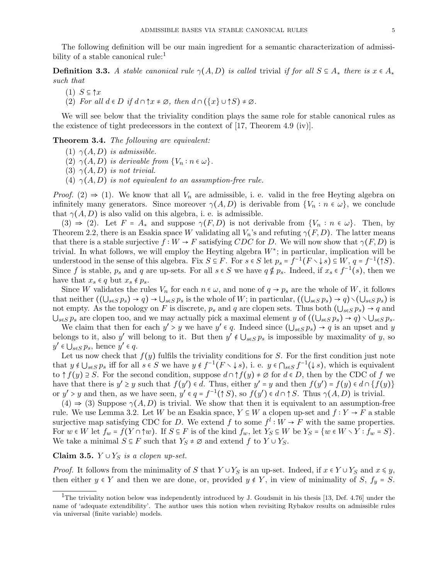The following definition will be our main ingredient for a semantic characterization of admissibility of a stable canonical rule: $<sup>1</sup>$ </sup>

**Definition 3.3.** A stable canonical rule  $\gamma(A, D)$  is called trivial if for all  $S \subseteq A_*$  there is  $x \in A_*$ such that

- $(1)$   $S \subseteq \uparrow x$
- (2) For all  $d \in D$  if  $d \cap \mathcal{T} x \neq \emptyset$ , then  $d \cap (\{x\} \cup \mathcal{T} S) \neq \emptyset$ .

We will see below that the triviality condition plays the same role for stable canonical rules as the existence of tight predecessors in the context of [17, Theorem 4.9 (iv)].

Theorem 3.4. The following are equivalent:

- (1)  $\gamma(A, D)$  is admissible.
- (2)  $\gamma(A, D)$  is derivable from  $\{V_n : n \in \omega\}.$
- (3)  $\gamma(A, D)$  is not trivial.
- (4)  $\gamma(A, D)$  is not equivalent to an assumption-free rule.

*Proof.* (2)  $\Rightarrow$  (1). We know that all  $V_n$  are admissible, i. e. valid in the free Heyting algebra on infinitely many generators. Since moreover  $\gamma(A, D)$  is derivable from  $\{V_n : n \in \omega\}$ , we conclude that  $\gamma(A, D)$  is also valid on this algebra, i. e. is admissible.

 $(3) \Rightarrow (2)$ . Let  $F = A_*$  and suppose  $\gamma(F, D)$  is not derivable from  $\{V_n : n \in \omega\}$ . Then, by Theorem 2.2, there is an Esakia space W validating all  $V_n$ 's and refuting  $\gamma(F, D)$ . The latter means that there is a stable surjective  $f: W \to F$  satisfying CDC for D. We will now show that  $\gamma(F, D)$  is trivial. In what follows, we will employ the Heyting algebra  $W^*$ ; in particular, implication will be understood in the sense of this algebra. Fix  $S \subseteq F$ . For  $s \in S$  let  $p_s = f^{-1}(F \setminus \downarrow s) \subseteq W$ ,  $q = f^{-1}(\uparrow S)$ . Since f is stable,  $p_s$  and q are up-sets. For all  $s \in S$  we have  $q \notin p_s$ . Indeed, if  $x_s \in f^{-1}(s)$ , then we have that  $x_s \in q$  but  $x_s \notin p_s$ .

Since W validates the rules  $V_n$  for each  $n \in \omega$ , and none of  $q \to p_s$  are the whole of W, it follows that neither  $((\bigcup_{s\in S} p_s) \to q) \to \bigcup_{s\in S} p_s$  is the whole of W; in particular,  $((\bigcup_{s\in S} p_s) \to q) \setminus (\bigcup_{s\in S} p_s)$  is not empty. As the topology on F is discrete,  $p_s$  and q are clopen sets. Thus both  $(\bigcup_{s\in S} p_s) \to q$  and  $\bigcup_{s\in S} p_s$  are clopen too, and we may actually pick a maximal element y of  $((\bigcup_{s\in S} p_s) \to q) \setminus \bigcup_{s\in S} p_s$ .

We claim that then for each  $y' > y$  we have  $y' \in q$ . Indeed since  $(\bigcup_{s \in S} p_s) \to q$  is an upset and y belongs to it, also y' will belong to it. But then  $y' \notin \bigcup_{s \in S} p_s$  is impossible by maximality of y, so  $y' \in \bigcup_{s \in S} p_s$ , hence  $y' \in q$ .

Let us now check that  $f(y)$  fulfils the triviality conditions for S. For the first condition just note that  $y \notin \bigcup_{s \in S} p_s$  iff for all  $s \in S$  we have  $y \notin f^{-1}(F \setminus \downarrow s)$ , i. e.  $y \in \bigcap_{s \in S} f^{-1}(\downarrow s)$ , which is equivalent to  $\uparrow f(y) \supseteq S$ . For the second condition, suppose  $d \cap \uparrow f(y) \neq \emptyset$  for  $d \in D$ , then by the CDC of f we have that there is  $y' \geq y$  such that  $f(y') \in d$ . Thus, either  $y' = y$  and then  $f(y') = f(y) \in d \cap \{f(y)\}\$ or  $y' > y$  and then, as we have seen,  $y' \in q = f^{-1}(\uparrow S)$ , so  $f(y') \in d \cap \uparrow S$ . Thus  $\gamma(A, D)$  is trivial.

 $(4) \Rightarrow (3)$  Suppose  $\gamma(A, D)$  is trivial. We show that then it is equivalent to an assumption-free rule. We use Lemma 3.2. Let W be an Esakia space,  $Y \subseteq W$  a clopen up-set and  $f: Y \to F$  a stable surjective map satisfying CDC for D. We extend f to some  $f^l: W \to F$  with the same properties. For  $w \in W$  let  $f_w = f(Y \cap \uparrow w)$ . If  $S \subseteq F$  is of the kind  $f_w$ , let  $Y_S \subseteq W$  be  $Y_S = \{w \in W \setminus Y : f_w = S\}$ . We take a minimal  $S \subseteq F$  such that  $Y_S \neq \emptyset$  and extend f to  $Y \cup Y_S$ .

### Claim 3.5.  $Y \cup Y_S$  is a clopen up-set.

*Proof.* It follows from the minimality of S that  $Y \cup Y_S$  is an up-set. Indeed, if  $x \in Y \cup Y_S$  and  $x \leq y$ , then either  $y \in Y$  and then we are done, or, provided  $y \notin Y$ , in view of minimality of S,  $f_y = S$ .

<sup>&</sup>lt;sup>1</sup>The triviality notion below was independently introduced by J. Goudsmit in his thesis [13, Def. 4.76] under the name of 'adequate extendibility'. The author uses this notion when revisiting Rybakov results on admissible rules via universal (finite variable) models.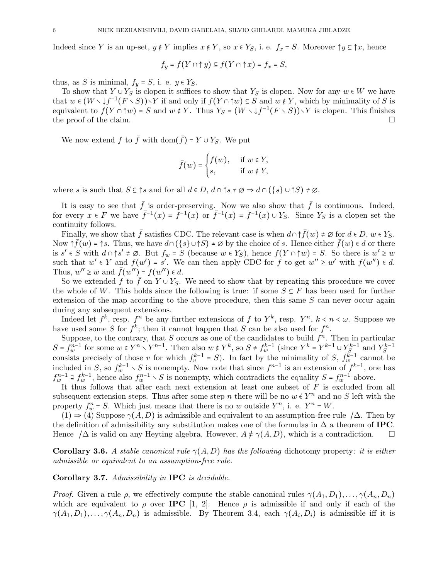Indeed since Y is an up-set,  $y \notin Y$  implies  $x \notin Y$ , so  $x \in Y_S$ , i. e.  $f_x = S$ . Moreover  $\uparrow y \subseteq \uparrow x$ , hence

$$
f_y = f(Y \cap \uparrow y) \subseteq f(Y \cap \uparrow x) = f_x = S,
$$

thus, as S is minimal,  $f_y = S$ , i. e.  $y \in Y_S$ .

To show that  $Y \cup Y_S$  is clopen it suffices to show that  $Y_S$  is clopen. Now for any  $w \in W$  we have that  $w \in (W \setminus \{f^{-1}(F \setminus S)) \setminus Y\}$  if and only if  $f(Y \cap \uparrow w) \subseteq S$  and  $w \notin Y$ , which by minimality of S is equivalent to  $f(Y \cap \uparrow w) = S$  and  $w \notin Y$ . Thus  $Y_S = (W \setminus \downarrow f^{-1}(F \setminus S)) \setminus Y$  is clopen. This finishes the proof of the claim.

We now extend  $f$  to  $\bar{f}$  with dom $(\bar{f}) = Y \cup Y_S$ . We put

$$
\bar{f}(w) = \begin{cases} f(w), & \text{if } w \in Y, \\ s, & \text{if } w \notin Y, \end{cases}
$$

where s is such that  $S \subseteq \uparrow s$  and for all  $d \in D$ ,  $d \cap \uparrow s \neq \emptyset \Rightarrow d \cap (\{s\} \cup \uparrow S) \neq \emptyset$ .

It is easy to see that  $\bar{f}$  is order-preserving. Now we also show that  $\bar{f}$  is continuous. Indeed, for every  $x \in F$  we have  $\bar{f}^{-1}(x) = \bar{f}^{-1}(x)$  or  $\bar{f}^{-1}(x) = f^{-1}(x) \cup Y_S$ . Since  $Y_S$  is a clopen set the continuity follows.

Finally, we show that  $\bar{f}$  satisfies CDC. The relevant case is when  $d \cap \tilde{f}(w) \neq \emptyset$  for  $d \in D$ ,  $w \in Y_S$ . Now  $\uparrow \bar{f}(w) = \uparrow s$ . Thus, we have  $d \cap (\{s\} \cup \uparrow S) \neq \emptyset$  by the choice of s. Hence either  $\bar{f}(w) \in \overline{d}$  or there is  $s' \in S$  with  $d \cap \uparrow s' \neq \emptyset$ . But  $f_w = S$  (because  $w \in Y_S$ ), hence  $f(Y \cap \uparrow w) = S$ . So there is  $w' \geq w$ such that  $w' \in Y$  and  $f(w') = s'$ . We can then apply CDC for f to get  $w'' \geq w'$  with  $f(w'') \in d$ . Thus,  $w'' \geq w$  and  $\bar{f}(w'') = f(w'') \in d$ .

So we extended f to  $\bar{f}$  on  $Y \cup Y_S$ . We need to show that by repeating this procedure we cover the whole of W. This holds since the following is true: if some  $S \subseteq F$  has been used for further extension of the map according to the above procedure, then this same  $S$  can never occur again during any subsequent extensions.

Indeed let  $f^k$ , resp.  $f^n$  be any further extensions of f to  $Y^k$ , resp.  $Y^n$ ,  $k < n < \omega$ . Suppose we have used some S for  $f^k$ ; then it cannot happen that S can be also used for  $f^n$ .

Suppose, to the contrary, that S occurs as one of the candidates to build  $f^n$ . Then in particular  $S = f_w^{n-1}$  for some  $w \in Y^n \setminus Y^{n-1}$ . Then also  $w \notin Y^k$ , so  $S \neq f_w^{k-1}$  (since  $Y^k = Y^{k-1} \cup Y_S^{k-1}$  and  $Y_S^{k-1}$ consists precisely of those v for which  $f_v^{k-1} = S$ ). In fact by the minimality of S,  $f_w^{k-1}$  cannot be included in S, so  $f_w^{k-1} \setminus S$  is nonempty. Now note that since  $f^{n-1}$  is an extension of  $f^{k-1}$ , one has  $f_w^{n-1} \supseteq f_w^{k-1}$ , hence also  $f_w^{n-1} \setminus S$  is nonempty, which contradicts the equality  $S = f_w^{n-1}$  above.

It thus follows that after each next extension at least one subset of F is excluded from all subsequent extension steps. Thus after some step n there will be no  $w \notin Y^n$  and no S left with the property  $f_w^n = S$ . Which just means that there is no w outside  $Y^n$ , i. e.  $Y^n = W$ .

 $(1) \Rightarrow (4)$  Suppose  $\gamma(A, D)$  is admissible and equivalent to an assumption-free rule  $/\Delta$ . Then by the definition of admissibility any substitution makes one of the formulas in  $\Delta$  a theorem of IPC. Hence  $/\Delta$  is valid on any Heyting algebra. However,  $A \notin \gamma(A, D)$ , which is a contradiction.  $\square$ 

**Corollary 3.6.** A stable canonical rule  $\gamma(A, D)$  has the following dichotomy property: it is either admissible or equivalent to an assumption-free rule.

Corollary 3.7. Admissibility in IPC is decidable.

*Proof.* Given a rule  $\rho$ , we effectively compute the stable canonical rules  $\gamma(A_1, D_1), \ldots, \gamma(A_n, D_n)$ which are equivalent to  $\rho$  over **IPC** [1, 2]. Hence  $\rho$  is admissible if and only if each of the  $\gamma(A_1, D_1), \ldots, \gamma(A_n, D_n)$  is admissible. By Theorem 3.4, each  $\gamma(A_i, D_i)$  is admissible iff it is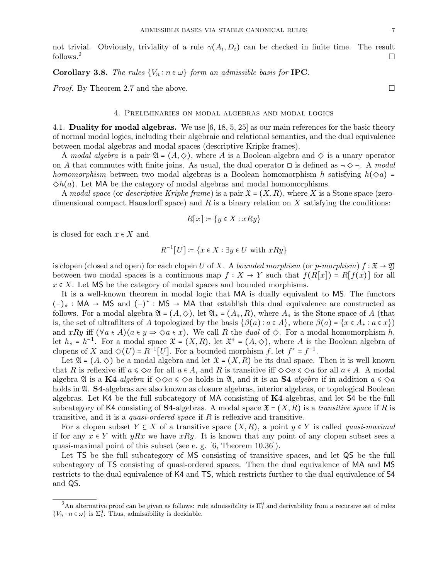not trivial. Obviously, triviality of a rule  $\gamma(A_i, D_i)$  can be checked in finite time. The result follows.<sup>2</sup>

Corollary 3.8. The rules  $\{V_n : n \in \omega\}$  form an admissible basis for IPC.

*Proof.* By Theorem 2.7 and the above.  $\Box$ 

#### 4. Preliminaries on modal algebras and modal logics

4.1. Duality for modal algebras. We use  $[6, 18, 5, 25]$  as our main references for the basic theory of normal modal logics, including their algebraic and relational semantics, and the dual equivalence between modal algebras and modal spaces (descriptive Kripke frames).

A modal algebra is a pair  $\mathfrak{A} = (A, \diamondsuit)$ , where A is a Boolean algebra and  $\diamondsuit$  is a unary operator on A that commutes with finite joins. As usual, the dual operator  $\Box$  is defined as  $\neg \Diamond \neg$ . A modal homomorphism between two modal algebras is a Boolean homomorphism h satisfying  $h(\Diamond a)$  =  $\diamondsuit(h(a))$ . Let MA be the category of modal algebras and modal homomorphisms.

A modal space (or descriptive Kripke frame) is a pair  $\mathfrak{X} = (X, R)$ , where X is a Stone space (zerodimensional compact Hausdorff space) and  $R$  is a binary relation on  $X$  satisfying the conditions:

$$
R[x] \coloneqq \{ y \in X : xRy \}
$$

is closed for each  $x \in X$  and

$$
R^{-1}[U] \coloneqq \{ x \in X : \exists y \in U \text{ with } xRy \}
$$

is clopen (closed and open) for each clopen U of X. A bounded morphism (or p-morphism)  $f : \mathfrak{X} \to \mathfrak{Y}$ between two modal spaces is a continuous map  $f: X \to Y$  such that  $f(R[x]) = R[f(x)]$  for all  $x \in X$ . Let MS be the category of modal spaces and bounded morphisms.

It is a well-known theorem in modal logic that MA is dually equivalent to MS. The functors (−)<sup>∗</sup> ∶ MA → MS and (−) ∗ ∶ MS → MA that establish this dual equivalence are constructed as follows. For a modal algebra  $\mathfrak{A} = (A, \diamondsuit)$ , let  $\mathfrak{A}_* = (A_*, R)$ , where  $A_*$  is the Stone space of A (that is, the set of ultrafilters of A topologized by the basis  $\{\beta(a) : a \in A\}$ , where  $\beta(a) = \{x \in A_* : a \in x\}$ and xRy iff  $(\forall a \in A)(a \in y \Rightarrow \Diamond a \in x)$ . We call R the dual of  $\Diamond$ . For a modal homomorphism h, let  $h_* = h^{-1}$ . For a modal space  $\mathfrak{X} = (X, R)$ , let  $\mathfrak{X}^* = (A, \diamondsuit)$ , where A is the Boolean algebra of clopens of X and  $\Diamond(U) = R^{-1}[U]$ . For a bounded morphism f, let  $f^* = f^{-1}$ .

Let  $\mathfrak{A} = (A, \diamondsuit)$  be a modal algebra and let  $\mathfrak{X} = (X, R)$  be its dual space. Then it is well known that R is reflexive iff  $a \le \theta a$  for all  $a \in A$ , and R is transitive iff  $\phi \otimes a \le \theta a$  for all  $a \in A$ . A modal algebra  $\mathfrak A$  is a K4-algebra if  $\Diamond \Diamond a \leq \Diamond a$  holds in  $\mathfrak A$ , and it is an S4-algebra if in addition  $a \leq \Diamond a$ holds in  $\mathfrak{A}$ . **S4**-algebras are also known as closure algebras, interior algebras, or topological Boolean algebras. Let K4 be the full subcategory of MA consisting of K4-algebras, and let S4 be the full subcategory of K4 consisting of S4-algebras. A modal space  $\mathfrak{X} = (X, R)$  is a transitive space if R is transitive, and it is a *quasi-ordered space* if  $R$  is reflexive and transitive.

For a clopen subset  $Y \subseteq X$  of a transitive space  $(X, R)$ , a point  $y \in Y$  is called *quasi-maximal* if for any  $x \in Y$  with  $yRx$  we have  $xRy$ . It is known that any point of any clopen subset sees a quasi-maximal point of this subset (see e. g. [6, Theorem 10.36]).

Let TS be the full subcategory of MS consisting of transitive spaces, and let QS be the full subcategory of TS consisting of quasi-ordered spaces. Then the dual equivalence of MA and MS restricts to the dual equivalence of K4 and TS, which restricts further to the dual equivalence of S4 and QS.

<sup>&</sup>lt;sup>2</sup>An alternative proof can be given as follows: rule admissibility is  $\Pi_1^0$  and derivability from a recursive set of rules  $\{V_n : n \in \omega\}$  is  $\Sigma_1^0$ . Thus, admissibility is decidable.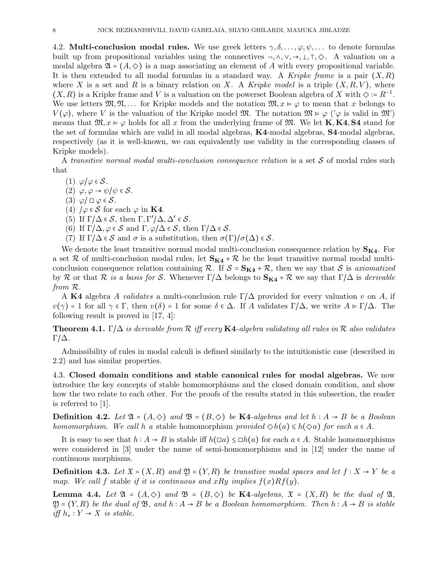4.2. Multi-conclusion modal rules. We use greek letters  $\gamma, \delta, \ldots, \varphi, \psi, \ldots$  to denote formulas built up from propositional variables using the connectives  $\neg, \wedge, \vee, \rightarrow, \bot, \top, \Diamond$ . A valuation on a modal algebra  $\mathfrak{A} = (A, \diamondsuit)$  is a map associating an element of A with every propositional variable. It is then extended to all modal formulas in a standard way. A Kripke frame is a pair  $(X, R)$ where X is a set and R is a binary relation on X. A Kripke model is a triple  $(X, R, V)$ , where  $(X, R)$  is a Kripke frame and V is a valuation on the powerset Boolean algebra of X with  $\Diamond := R^{-1}$ . We use letters  $\mathfrak{M}, \mathfrak{N}, \ldots$  for Kripke models and the notation  $\mathfrak{M}, x \models \varphi$  to mean that x belongs to  $V(\varphi)$ , where V is the valuation of the Kripke model M. The notation  $\mathfrak{M} \models \varphi$  (' $\varphi$  is valid in  $\mathfrak{M}'$ ) means that  $\mathfrak{M}, x \models \varphi$  holds for all x from the underlying frame of  $\mathfrak{M}$ . We let **K**, **K4**, **S4** stand for the set of formulas which are valid in all modal algebras, K4-modal algebras, S4-modal algebras, respectively (as it is well-known, we can equivalently use validity in the corresponding classes of Kripke models).

A transitive normal modal multi-conclusion consequence relation is a set  $S$  of modal rules such that

- (1)  $\varphi/\varphi \in \mathcal{S}$ .
- (2)  $\varphi, \varphi \to \psi/\psi \in \mathcal{S}$ .
- (3)  $\varphi/\Box \varphi \in \mathcal{S}$ .
- (4)  $/\varphi \in \mathcal{S}$  for each  $\varphi$  in **K4**.
- (5) If  $\Gamma/\Delta \in \mathcal{S}$ , then  $\Gamma, \Gamma'/\Delta, \Delta' \in \mathcal{S}$ .
- (6) If  $\Gamma/\Delta, \varphi \in \mathcal{S}$  and  $\Gamma, \varphi/\Delta \in \mathcal{S}$ , then  $\Gamma/\Delta \in \mathcal{S}$ .
- (7) If  $\Gamma/\Delta \in \mathcal{S}$  and  $\sigma$  is a substitution, then  $\sigma(\Gamma)/\sigma(\Delta) \in \mathcal{S}$ .

We denote the least transitive normal modal multi-conclusion consequence relation by  $S_{K4}$ . For a set R of multi-conclusion modal rules, let  $S_{K4} + R$  be the least transitive normal modal multiconclusion consequence relation containing R. If  $S = S_{K4} + R$ , then we say that S is axiomatized by R or that R is a basis for S. Whenever  $\Gamma/\Delta$  belongs to  $S_{K4} + R$  we say that  $\Gamma/\Delta$  is derivable from R.

A K4 algebra A validates a multi-conclusion rule  $\Gamma/\Delta$  provided for every valuation v on A, if  $v(\gamma) = 1$  for all  $\gamma \in \Gamma$ , then  $v(\delta) = 1$  for some  $\delta \in \Delta$ . If A validates  $\Gamma/\Delta$ , we write  $A \models \Gamma/\Delta$ . The following result is proved in [17, 4]:

**Theorem 4.1.** Γ/ $\Delta$  is derivable from  $\mathcal R$  iff every **K4**-algebra validating all rules in  $\mathcal R$  also validates Γ/∆.

Admissibility of rules in modal calculi is defined similarly to the intuitionistic case (described in 2.2) and has similar properties.

4.3. Closed domain conditions and stable canonical rules for modal algebras. We now introduce the key concepts of stable homomorphisms and the closed domain condition, and show how the two relate to each other. For the proofs of the results stated in this subsection, the reader is referred to [1].

**Definition 4.2.** Let  $\mathfrak{A} = (A, \diamondsuit)$  and  $\mathfrak{B} = (B, \diamondsuit)$  be **K4**-algebras and let  $h : A \rightarrow B$  be a Boolean homomorphism. We call h a stable homomorphism provided  $\Diamond h(a) \leq h(\Diamond a)$  for each  $a \in A$ .

It is easy to see that  $h : A \to B$  is stable iff  $h(\Box a) \le \Box h(a)$  for each  $a \in A$ . Stable homomorphisms were considered in [3] under the name of semi-homomorphisms and in [12] under the name of continuous morphisms.

**Definition 4.3.** Let  $\mathfrak{X} = (X, R)$  and  $\mathfrak{Y} = (Y, R)$  be transitive modal spaces and let  $f : X \rightarrow Y$  be a map. We call f stable if it is continuous and xRy implies  $f(x)Rf(y)$ .

**Lemma 4.4.** Let  $\mathfrak{A} = (A, \diamondsuit)$  and  $\mathfrak{B} = (B, \diamondsuit)$  be **K4**-algebras,  $\mathfrak{X} = (X, R)$  be the dual of  $\mathfrak{A}$ ,  $\mathfrak{Y} = (Y, R)$  be the dual of  $\mathfrak{B}$ , and  $h : A \rightarrow B$  be a Boolean homomorphism. Then  $h : A \rightarrow B$  is stable *iff*  $h_*$  :  $Y$  →  $X$  *is stable.*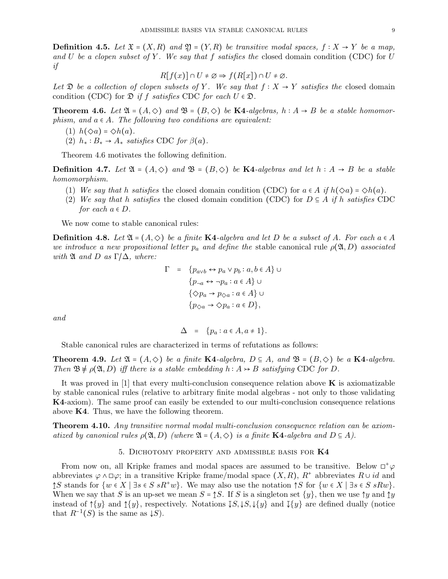**Definition 4.5.** Let  $\mathfrak{X} = (X, R)$  and  $\mathfrak{Y} = (Y, R)$  be transitive modal spaces,  $f : X \to Y$  be a map, and U be a clopen subset of Y. We say that f satisfies the closed domain condition (CDC) for U if

$$
R[f(x)] \cap U \neq \emptyset \Rightarrow f(R[x]) \cap U \neq \emptyset.
$$

Let  $\mathfrak D$  be a collection of clopen subsets of Y. We say that  $f : X \to Y$  satisfies the closed domain condition (CDC) for  $\mathfrak{D}$  if f satisfies CDC for each  $U \in \mathfrak{D}$ .

**Theorem 4.6.** Let  $\mathfrak{A} = (A, \diamond)$  and  $\mathfrak{B} = (B, \diamond)$  be **K4**-algebras,  $h : A \rightarrow B$  be a stable homomorphism, and  $a \in A$ . The following two conditions are equivalent:

- (1)  $h(\Diamond a) = \Diamond h(a)$ .
- (2)  $h_* : B_* \to A_*$  satisfies CDC for  $\beta(a)$ .

Theorem 4.6 motivates the following definition.

**Definition 4.7.** Let  $\mathfrak{A} = (A, \diamondsuit)$  and  $\mathfrak{B} = (B, \diamondsuit)$  be **K4**-algebras and let  $h : A \rightarrow B$  be a stable homomorphism.

- (1) We say that h satisfies the closed domain condition (CDC) for  $a \in A$  if  $h(\Diamond a) = \Diamond h(a)$ .
- (2) We say that h satisfies the closed domain condition (CDC) for  $D \subseteq A$  if h satisfies CDC for each  $a \in D$ .

We now come to stable canonical rules:

**Definition 4.8.** Let  $\mathfrak{A} = (A, \diamondsuit)$  be a finite K4-algebra and let D be a subset of A. For each  $a \in A$ we introduce a new propositional letter  $p_a$  and define the stable canonical rule  $\rho(\mathfrak{A}, D)$  associated with  $\mathfrak A$  and  $D$  as  $\Gamma/\Delta$ , where:

$$
\Gamma = \{p_{a \lor b} \leftrightarrow p_a \lor p_b : a, b \in A\} \cup
$$
  
\n
$$
\{p_{\neg a} \leftrightarrow \neg p_a : a \in A\} \cup
$$
  
\n
$$
\{\Diamond p_a \to p_{\Diamond a} : a \in A\} \cup
$$
  
\n
$$
\{p_{\Diamond a} \to \Diamond p_a : a \in D\},
$$

and

$$
\Delta = \{p_a : a \in A, a \neq 1\}.
$$

Stable canonical rules are characterized in terms of refutations as follows:

**Theorem 4.9.** Let  $\mathfrak{A} = (A, \diamondsuit)$  be a finite **K4**-algebra,  $D \subseteq A$ , and  $\mathfrak{B} = (B, \diamondsuit)$  be a **K4**-algebra. Then  $\mathfrak{B} \not\models \rho(\mathfrak{A}, D)$  iff there is a stable embedding  $h : A \rightarrow B$  satisfying CDC for D.

It was proved in  $[1]$  that every multi-conclusion consequence relation above **K** is axiomatizable by stable canonical rules (relative to arbitrary finite modal algebras - not only to those validating K4-axiom). The same proof can easily be extended to our multi-conclusion consequence relations above K4. Thus, we have the following theorem.

Theorem 4.10. Any transitive normal modal multi-conclusion consequence relation can be axiomatized by canonical rules  $\rho(\mathfrak{A}, D)$  (where  $\mathfrak{A} = (A, \diamondsuit)$  is a finite **K4**-algebra and  $D \subseteq A$ ).

### 5. DICHOTOMY PROPERTY AND ADMISSIBLE BASIS FOR  $K4$

From now on, all Kripke frames and modal spaces are assumed to be transitive. Below  $\Box^+\varphi$ abbreviates  $\varphi \wedge \Box \varphi$ ; in a transitive Kripke frame/modal space  $(X, R)$ ,  $R^+$  abbreviates  $R \cup id$  and ↑S stands for  $\{w \in X \mid \exists s \in S \ sR^+w\}$ . We may also use the notation  $\uparrow S$  for  $\{w \in X \mid \exists s \in S \ sRw\}$ . When we say that S is an up-set we mean  $S = \S S$ . If S is a singleton set  $\{y\}$ , then we use  $\uparrow y$  and  $\uparrow y$ instead of  $\{\{y\}$  and  $\{\{y\}$ , respectively. Notations  $\{S, \downarrow S, \downarrow \{y\}$  and  $\{\{y\}$  are defined dually (notice that  $R^{-1}(S)$  is the same as  $\downarrow S$ .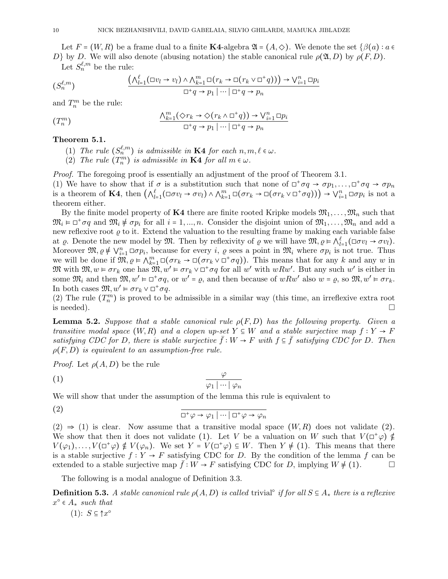Let  $F = (W, R)$  be a frame dual to a finite K4-algebra  $\mathfrak{A} = (A, \diamondsuit)$ . We denote the set  $\{\beta(a) : a \in \mathfrak{S}\}$ D} by D. We will also denote (abusing notation) the stable canonical rule  $\rho(\mathfrak{A}, D)$  by  $\rho(F, D)$ .  $_{\ell,m}$ 

Let 
$$
S_n^{\ell,m}
$$
 be the rule:

$$
(S_n^{\ell,m}) \qquad \qquad \frac{\left(\bigwedge_{l=1}^{\ell}(\Box v_l \to v_l) \land \bigwedge_{k=1}^m \Box(r_k \to \Box(r_k \lor \Box^+ q))\right) \to \bigvee_{i=1}^n \Box p_i}{\Box^+ q \to p_1 \mid \cdots \mid \Box^+ q \to p_n}
$$

and  $T_n^m$  be the rule:

$$
(T_n^m) \qquad \qquad \frac{\bigwedge_{k=1}^m (\Diamond r_k \to \Diamond (r_k \land \Box^+ q)) \to \bigvee_{i=1}^n \Box p_i}{\Box^+ q \to p_1 \mid \cdots \mid \Box^+ q \to p_n}
$$

## Theorem 5.1.

- (1) The rule  $(S_n^{\ell,m})$  is admissible in **K4** for each  $n, m, \ell \in \omega$ .
- (2) The rule  $(T_n^m)$  is admissible in **K4** for all  $m \in \omega$ .

Proof. The foregoing proof is essentially an adjustment of the proof of Theorem 3.1.

(1) We have to show that if  $\sigma$  is a substitution such that none of  $\Box^+\sigma q \to \sigma p_1, \ldots, \Box^+\sigma q \to \sigma p_n$ is a theorem of **K4**, then  $(\bigwedge_{l=1}^{\ell}(\Box \sigma v_l \rightarrow \sigma v_l) \wedge \bigwedge_{k=1}^{m}\Box(\sigma r_k \rightarrow \Box(\sigma r_k \vee \Box^+\sigma q))) \rightarrow \bigvee_{i=1}^{n}\Box \sigma p_i$  is not a theorem either.

By the finite model property of K4 there are finite rooted Kripke models  $\mathfrak{M}_1, \ldots, \mathfrak{M}_n$  such that  $\mathfrak{M}_i \models \Box^+ \sigma q$  and  $\mathfrak{M}_i \not\models \sigma p_i$  for all  $i = 1, ..., n$ . Consider the disjoint union of  $\mathfrak{M}_1, \ldots, \mathfrak{M}_n$  and add a new reflexive root  $\varrho$  to it. Extend the valuation to the resulting frame by making each variable false at  $\varrho$ . Denote the new model by  $\mathfrak{M}$ . Then by reflexivity of  $\varrho$  we will have  $\mathfrak{M}, \varrho \models \bigwedge_{l=1}^{\ell} (\Box \sigma v_l \rightarrow \sigma v_l)$ . Moreover  $\mathfrak{M}, \varrho \notin \bigvee_{i=1}^n \Box \sigma p_i$ , because for every i,  $\varrho$  sees a point in  $\mathfrak{M}_i$  where  $\sigma p_i$  is not true. Thus we will be done if  $\mathfrak{M}, \varrho \models \bigwedge_{k=1}^{m} \Box(\sigma r_k \rightarrow \Box(\sigma r_k \vee \Box^+\sigma q))$ . This means that for any k and any w in  $\mathfrak{M}$  with  $\mathfrak{M}, w \models \sigma r_k$  one has  $\mathfrak{M}, w' \models \sigma r_k \vee \Box^+ \sigma q$  for all w' with  $wRw'$ . But any such w' is either in some  $\mathfrak{M}_i$  and then  $\mathfrak{M}, w' \models \Box^+ \sigma q$ , or  $w' = \varrho$ , and then because of  $wRw'$  also  $w = \varrho$ , so  $\mathfrak{M}, w' \models \sigma r_k$ . In both cases  $\mathfrak{M}, w' \models \sigma r_k \vee \Box^+ \sigma q$ .

(2) The rule  $(T_n^m)$  is proved to be admissible in a similar way (this time, an irreflexive extra root is needed).  $\square$ 

**Lemma 5.2.** Suppose that a stable canonical rule  $\rho(F, D)$  has the following property. Given a transitive modal space  $(W, R)$  and a clopen up-set  $Y \subseteq W$  and a stable surjective map  $f: Y \to F$ satisfying CDC for D, there is stable surjective  $f: W \to F$  with  $f \subseteq f$  satisfying CDC for D. Then  $\rho(F, D)$  is equivalent to an assumption-free rule.

*Proof.* Let  $\rho(A, D)$  be the rule

$$
\frac{\varphi}{\varphi_1 \mid \cdots \mid \varphi_n}
$$

We will show that under the assumption of the lemma this rule is equivalent to

(2) 
$$
\frac{1}{\Box^+\varphi \to \varphi_1 \mid \dots \mid \Box^+\varphi \to \varphi_n}
$$

 $(2) \Rightarrow (1)$  is clear. Now assume that a transitive modal space  $(W, R)$  does not validate  $(2)$ . We show that then it does not validate (1). Let V be a valuation on W such that  $V(\Box^{\dagger}\varphi) \notin$  $V(\varphi_1), \ldots, V(\Box^{\dagger} \varphi) \notin V(\varphi_n)$ . We set  $Y = V(\Box^{\dagger} \varphi) \subseteq W$ . Then  $Y \neq (1)$ . This means that there is a stable surjective  $f: Y \to F$  satisfying CDC for D. By the condition of the lemma f can be extended to a stable surjective map  $\bar{f}: W \to F$  satisfying CDC for D, implying  $W \neq (1)$ .

The following is a modal analogue of Definition 3.3.

**Definition 5.3.** A stable canonical rule  $\rho(A, D)$  is called trivial<sup>°</sup> if for all  $S \subseteq A_*$  there is a reflexive  $x^{\circ} \in A_{*}$  such that

 $(1)$ :  $S \subseteq \uparrow x^{\circ}$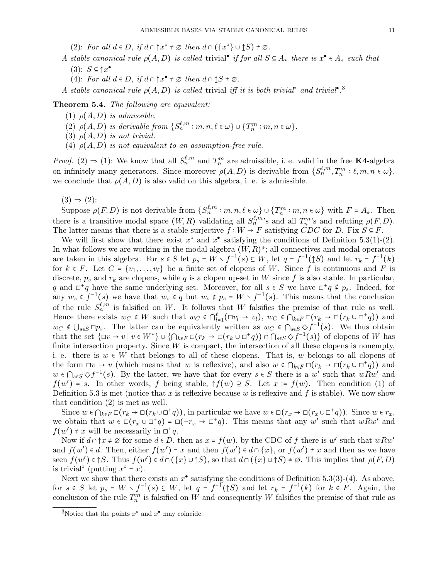- (2): For all  $d \in D$ , if  $d \cap \{x^{\circ} \neq \emptyset \text{ then } d \cap (\{x^{\circ}\} \cup \uparrow S) \neq \emptyset$ .
- A stable canonical rule  $\rho(A, D)$  is called trivial<sup>•</sup> if for all  $S \subseteq A_*$  there is  $x^{\bullet} \in A_*$  such that  $(3)$ :  $S \subseteq \uparrow x^{\bullet}$ 
	- (4): For all  $d \in D$ , if  $d \cap \uparrow x^{\bullet} \neq \emptyset$  then  $d \cap \uparrow S \neq \emptyset$ .
- A stable canonical rule  $\rho(A, D)$  is called trivial iff it is both trivial<sup>®</sup> and trivial<sup>®</sup>.<sup>3</sup>

Theorem 5.4. The following are equivalent:

- (1)  $\rho(A, D)$  is admissible.
- (2)  $\rho(A, D)$  is derivable from  $\{S_n^{\ell,m} : m, n, \ell \in \omega\} \cup \{T_n^m : m, n \in \omega\}.$
- (3)  $\rho(A, D)$  is not trivial.
- (4)  $\rho(A, D)$  is not equivalent to an assumption-free rule.

*Proof.* (2)  $\Rightarrow$  (1): We know that all  $S_n^{\ell,m}$  and  $T_n^m$  are admissible, i. e. valid in the free **K4**-algebra on infinitely many generators. Since moreover  $\rho(A, D)$  is derivable from  $\{S_n^{\ell,m}, T_n^m : \ell, m, n \in \omega\},\$ we conclude that  $\rho(A, D)$  is also valid on this algebra, i. e. is admissible.

 $(3) \Rightarrow (2)$ :

Suppose  $\rho(F, D)$  is not derivable from  $\{S_n^{\ell,m} : m,n, \ell \in \omega\} \cup \{T_n^m : m,n \in \omega\}$  with  $F = A_*$ . Then there is a transitive modal space  $(W, R)$  validating all  $S_n^{\ell,m}$ 's and all  $T_n^m$ 's and refuting  $\rho(F, D)$ . The latter means that there is a stable surjective  $f : W \to F$  satisfying CDC for D. Fix  $S \subseteq F$ .

We will first show that there exist  $x^{\circ}$  and  $x^{\bullet}$  satisfying the conditions of Definition 5.3(1)-(2). In what follows we are working in the modal algebra  $(W, R)^*$ ; all connectives and modal operators are taken in this algebra. For  $s \in S$  let  $p_s = W \setminus f^{-1}(s) \subseteq W$ , let  $q = f^{-1}(\uparrow S)$  and let  $r_k = f^{-1}(k)$ for  $k \in F$ . Let  $C = \{v_1, \ldots, v_\ell\}$  be a finite set of clopens of W. Since f is continuous and F is discrete,  $p_s$  and  $r_k$  are clopens, while q is a clopen up-set in W since f is also stable. In particular, q and  $\Box^+ q$  have the same underlying set. Moreover, for all  $s \in S$  we have  $\Box^+ q \notin p_s$ . Indeed, for any  $w_s \in f^{-1}(s)$  we have that  $w_s \in q$  but  $w_s \notin p_s = W \setminus f^{-1}(s)$ . This means that the conclusion of the rule  $S_n^{\ell,m}$  is falsified on W. It follows that W falsifies the premise of that rule as well. Hence there exists  $w_C \in W$  such that  $w_C \in \bigcap_{l=1}^{\ell} (\exists v_l \to v_l), w_C \in \bigcap_{k \in F} \Box(r_k \to \Box(r_k \cup \Box^+ q))$  and  $w_C \notin \bigcup_{s \in S} \Box p_s$ . The latter can be equivalently written as  $w_C \in \bigcap_{s \in S} \Diamond f^{-1}(s)$ . We thus obtain that the set  $\{\Box v \to v \mid v \in W^*\}\cup \{\bigcap_{k\in F}\Box(r_k \to \Box(r_k \cup \Box^+ q))\cap \bigcap_{s\in S}\Diamond f^{-1}(s)\}\)$  of clopens of W has finite intersection property. Since  $W$  is compact, the intersection of all these clopens is nonempty, i. e. there is  $w \in W$  that belongs to all of these clopens. That is, w belongs to all clopens of the form  $\Box v \to v$  (which means that w is reflexive), and also  $w \in \bigcap_{k \in F} \Box(r_k \to \Box(r_k \cup \Box^+ q))$  and  $w \in \bigcap_{s \in S} \diamond f^{-1}(s)$ . By the latter, we have that for every  $s \in S$  there is a w' such that  $wRw'$  and  $f(w') = s$ . In other words, f being stable,  $\uparrow f(w) \supseteq S$ . Let  $x := f(w)$ . Then condition (1) of Definition 5.3 is met (notice that x is reflexive because w is reflexive and f is stable). We now show that condition (2) is met as well.

Since  $w \in \bigcap_{k \in F} \Box(r_k \to \Box(r_k \cup \Box^+ q))$ , in particular we have  $w \in \Box(r_x \to \Box(r_x \cup \Box^+ q))$ . Since  $w \in r_x$ , we obtain that  $w \in \Box(r_x \cup \Box^+ q) = \Box(\neg r_x \rightarrow \Box^+ q)$ . This means that any  $w'$  such that  $wRw'$  and  $f(w') \neq x$  will be necessarily in  $\Box^+ q$ .

Now if  $d \cap \uparrow x \neq \emptyset$  for some  $d \in D$ , then as  $x = f(w)$ , by the CDC of f there is w' such that  $wRw'$ and  $f(w') \in d$ . Then, either  $f(w') = x$  and then  $f(w') \in d \cap \{x\}$ , or  $f(w') \neq x$  and then as we have seen  $f(w') \in \mathcal{S}$ . Thus  $f(w') \in d \cap (\{x\} \cup \mathcal{S})$ , so that  $d \cap (\{x\} \cup \mathcal{S}) \neq \emptyset$ . This implies that  $\rho(F, D)$ is trivial<sup>°</sup> (putting  $x^{\circ} = x$ ).

Next we show that there exists an  $x^{\bullet}$  satisfying the conditions of Definition 5.3(3)-(4). As above, for  $s \in S$  let  $p_s = W \setminus f^{-1}(s) \subseteq W$ , let  $q = f^{-1}(\uparrow S)$  and let  $r_k = f^{-1}(k)$  for  $k \in F$ . Again, the conclusion of the rule  $T_n^m$  is falsified on W and consequently W falsifies the premise of that rule as

<sup>&</sup>lt;sup>3</sup>Notice that the points  $x^{\circ}$  and  $x^{\bullet}$  may coincide.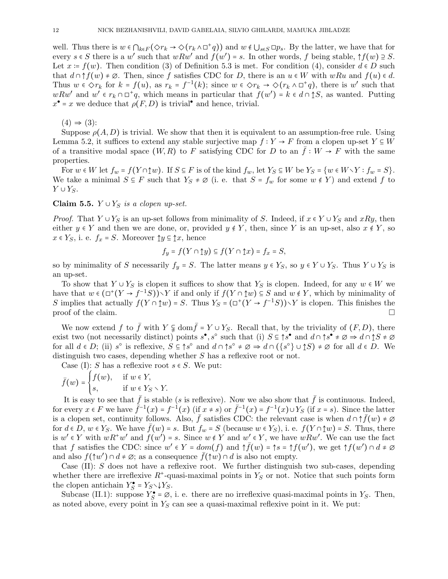well. Thus there is  $w \in \bigcap_{k \in F} (\Diamond r_k \to \Diamond (r_k \wedge \Box^+ q))$  and  $w \notin \bigcup_{s \in S} \Box p_s$ . By the latter, we have that for every  $s \in S$  there is a w' such that  $wRw'$  and  $f(w') = s$ . In other words, f being stable,  $\uparrow f(w) \supseteq S$ . Let  $x = f(w)$ . Then condition (3) of Definition 5.3 is met. For condition (4), consider  $d \in D$  such that  $d \cap \uparrow f(w) \neq \emptyset$ . Then, since f satisfies CDC for D, there is an  $u \in W$  with wRu and  $f(u) \in d$ . Thus  $w \in \Diamond r_k$  for  $k = f(u)$ , as  $r_k = f^{-1}(k)$ ; since  $w \in \Diamond r_k \to \Diamond (r_k \wedge \Box^+ q)$ , there is w' such that  $wRw'$  and  $w' \in r_k \cap \Box^+q$ , which means in particular that  $f(w') = k \in d \cap \uparrow S$ , as wanted. Putting  $x^{\bullet} = x$  we deduce that  $\rho(F, D)$  is trivial<sup>o</sup> and hence, trivial.

 $(4) \Rightarrow (3)$ :

Suppose  $\rho(A, D)$  is trivial. We show that then it is equivalent to an assumption-free rule. Using Lemma 5.2, it suffices to extend any stable surjective map  $f: Y \to F$  from a clopen up-set  $Y \subseteq W$ of a transitive modal space  $(W, R)$  to F satisfying CDC for D to an  $\bar{f}: W \to F$  with the same properties.

For  $w \in W$  let  $f_w = f(Y \cap \uparrow w)$ . If  $S \subseteq F$  is of the kind  $f_w$ , let  $Y_S \subseteq W$  be  $Y_S = \{w \in W \setminus Y : f_w = S\}$ . We take a minimal  $S \subseteq F$  such that  $Y_S \neq \emptyset$  (i. e. that  $S = f_w$  for some  $w \notin Y$ ) and extend f to  $Y \cup Y_S$ .

Claim 5.5.  $Y \cup Y_S$  is a clopen up-set.

*Proof.* That  $Y \cup Y_S$  is an up-set follows from minimality of S. Indeed, if  $x \in Y \cup Y_S$  and  $xRy$ , then either  $y \in Y$  and then we are done, or, provided  $y \notin Y$ , then, since Y is an up-set, also  $x \notin Y$ , so  $x \in Y_S$ , i. e.  $f_x = S$ . Moreover  $\hat{y} \subseteq \hat{y}x$ , hence

$$
f_y = f(Y \cap \mathbf{1}y) \subseteq f(Y \cap \mathbf{1}x) = f_x = S,
$$

so by minimality of S necessarily  $f_y = S$ . The latter means  $y \in Y_S$ , so  $y \in Y \cup Y_S$ . Thus  $Y \cup Y_S$  is an up-set.

To show that  $Y \cup Y_S$  is clopen it suffices to show that  $Y_S$  is clopen. Indeed, for any  $w \in W$  we have that  $w \in (\Box^+(Y \to f^{-1}S)) \setminus Y$  if and only if  $f(Y \cap \mathbf{1}w) \subseteq S$  and  $w \notin Y$ , which by minimality of S implies that actually  $f(Y \cap \uparrow w) = S$ . Thus  $Y_S = (\Box^+(Y \to f^{-1}S)) \setminus Y$  is clopen. This finishes the proof of the claim.  $\Box$ 

We now extend f to  $\bar{f}$  with  $Y \subsetneq \text{dom}\bar{f} = Y \cup Y_S$ . Recall that, by the triviality of  $(F, D)$ , there exist two (not necessarily distinct) points  $s^{\bullet}, s^{\circ}$  such that (i)  $S \subseteq \uparrow s^{\bullet}$  and  $d \cap \uparrow s^{\bullet} \neq \emptyset \Rightarrow d \cap \uparrow S \neq \emptyset$ for all  $d \in D$ ; (ii)  $s^{\circ}$  is reflexive,  $S \subseteq \uparrow s^{\circ}$  and  $d \cap \uparrow s^{\circ} \neq \emptyset \Rightarrow d \cap (\{s^{\circ}\} \cup \uparrow S) \neq \emptyset$  for all  $d \in D$ . We distinguish two cases, depending whether S has a reflexive root or not.

Case (I): S has a reflexive root  $s \in S$ . We put:

$$
\bar{f}(w) = \begin{cases} f(w), & \text{if } w \in Y, \\ s, & \text{if } w \in Y_S \setminus Y. \end{cases}
$$

It is easy to see that  $\bar{f}$  is stable (s is reflexive). Now we also show that  $\bar{f}$  is continuous. Indeed, for every  $x \in F$  we have  $\tilde{f}^{-1}(x) = f^{-1}(x)$  (if  $x \neq s$ ) or  $\bar{f}^{-1}(x) = f^{-1}(x) \cup Y_S$  (if  $x = s$ ). Since the latter is a clopen set, continuity follows. Also,  $\bar{f}$  satisfies CDC: the relevant case is when  $d \cap \tilde{f}(w) \neq \emptyset$ for  $d \in D$ ,  $w \in Y_S$ . We have  $f(w) = s$ . But  $f_w = S$  (because  $w \in Y_S$ ), i. e.  $f(Y \cap \uparrow w) = S$ . Thus, there is  $w' \in Y$  with  $wR^+w'$  and  $f(w') = s$ . Since  $w \notin Y$  and  $w' \in Y$ , we have  $wRw'$ . We can use the fact that f satisfies the CDC: since  $w' \in Y = dom(f)$  and  $\uparrow \bar{f}(w) = \uparrow s = \uparrow f(w')$ , we get  $\uparrow f(w') \cap d \neq \emptyset$ and also  $f(\uparrow w') \cap d \neq \emptyset$ ; as a consequence  $\bar{f}(\uparrow w) \cap d$  is also not empty.

Case  $(II)$ : S does not have a reflexive root. We further distinguish two sub-cases, depending whether there are irreflexive  $R^*$ -quasi-maximal points in  $Y_S$  or not. Notice that such points form the clopen antichain  $Y_S^{\bullet} = Y_S \setminus \downarrow Y_S$ .

Subcase (II.1): suppose  $Y_S^{\bullet} = \emptyset$ , i. e. there are no irreflexive quasi-maximal points in  $Y_S$ . Then, as noted above, every point in  $Y<sub>S</sub>$  can see a quasi-maximal reflexive point in it. We put: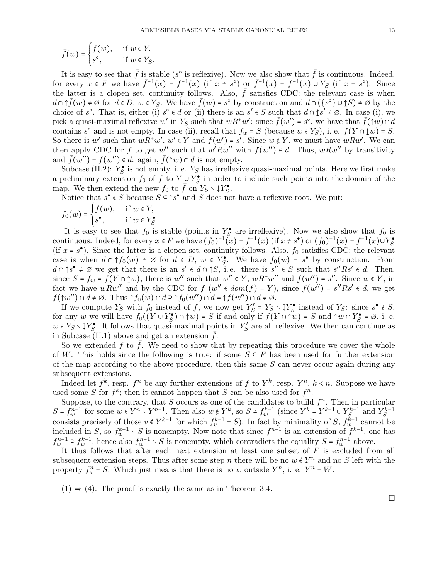$$
\bar{f}(w) = \begin{cases} f(w), & \text{if } w \in Y, \\ s^{\circ}, & \text{if } w \in Y_S. \end{cases}
$$

It is easy to see that  $\bar{f}$  is stable (s<sup>o</sup> is reflexive). Now we also show that  $\bar{f}$  is continuous. Indeed, for every  $x \in F$  we have  $\bar{f}^{-1}(x) = f^{-1}(x)$  (if  $x \neq s^{\circ}$ ) or  $\bar{f}^{-1}(x) = f^{-1}(x) \cup Y_{S}$  (if  $x = s^{\circ}$ ). Since the latter is a clopen set, continuity follows. Also,  $\bar{f}$  satisfies CDC: the relevant case is when  $d \cap \uparrow \bar{f}(w) \neq \emptyset$  for  $\bar{d} \in D$ ,  $w \in Y_S$ . We have  $\bar{f}(w) = s^{\circ}$  by construction and  $d \cap (\{s^{\circ}\} \cup \uparrow S) \neq \emptyset$  by the choice of s<sup>o</sup>. That is, either (i) s<sup>o</sup>  $\in d$  or (ii) there is an s'  $\in S$  such that  $d \cap \uparrow s' \neq \emptyset$ . In case (i), we pick a quasi-maximal reflexive w' in  $Y_s$  such that  $wR^+w'$ : since  $\bar{f}(w') = s^{\circ}$ , we have that  $\bar{f}(\uparrow w) \cap d$ contains s<sup>o</sup> and is not empty. In case (ii), recall that  $f_w = S$  (because  $w \in Y_S$ ), i. e.  $f(Y \cap \uparrow w) = S$ . So there is w' such that  $wR^+w'$ ,  $w' \in Y$  and  $f(w') = s'$ . Since  $w \notin Y$ , we must have  $wRw'$ . We can then apply CDC for f to get w'' such that  $w' R w''$  with  $f(w'') \in d$ . Thus,  $w R w''$  by transitivity and  $\bar{f}(w'') = f(w'') \in d$ : again,  $\bar{f}(\uparrow w) \cap d$  is not empty.

Subcase (II.2):  $Y_S^{\bullet}$  is not empty, i. e.  $Y_S$  has irreflexive quasi-maximal points. Here we first make a preliminary extension  $f_0$  of f to  $Y \cup Y_S^{\bullet}$  in order to include such points into the domain of the map. We then extend the new  $f_0$  to  $\overline{f}$  on  $Y_S \setminus \downarrow Y_S^{\bullet}$ .

Notice that  $s^{\bullet} \notin S$  because  $S \subseteq \uparrow s^{\bullet}$  and S does not have a reflexive root. We put:

$$
f_0(w) = \begin{cases} f(w), & \text{if } w \in Y, \\ s^{\bullet}, & \text{if } w \in Y_s^{\bullet}. \end{cases}
$$

It is easy to see that  $f_0$  is stable (points in  $Y^{\bullet}$  are irreflexive). Now we also show that  $f_0$  is continuous. Indeed, for every  $x \in F$  we have  $(f_0)^{-1}(x) = f^{-1}(x)$  (if  $x \neq s^{\bullet}$ ) or  $(f_0)^{-1}(x) = f^{-1}(x) \cup Y_s^{\bullet}$ (if  $x = s^{\bullet}$ ). Since the latter is a clopen set, continuity follows. Also,  $f_0$  satisfies CDC: the relevant case is when  $d \cap \uparrow f_0(w) \neq \emptyset$  for  $d \in D$ ,  $w \in Y_S^{\bullet}$ . We have  $f_0(w) = s^{\bullet}$  by construction. From  $d \cap \uparrow s^{\bullet} \neq \emptyset$  we get that there is an  $s' \in d \cap \uparrow S$ , i.e. there is  $s'' \in S$  such that  $s''Rs' \in d$ . Then, since  $S = f_w = f(Y \cap \mathbf{w})$ , there is w'' such that  $w'' \in Y$ ,  $wR^+w''$  and  $f(w'') = s''$ . Since  $w \notin Y$ , in fact we have  $wRw''$  and by the CDC for  $f(w'' \in dom(f) = Y)$ , since  $f(w'') = s''Rs' \in d$ , we get  $f(\uparrow w'') \cap d \neq \emptyset$ . Thus  $\uparrow f_0(w) \cap d \supseteq \uparrow f_0(w'') \cap d = \uparrow f(w'') \cap d \neq \emptyset$ .

If we compute  $Y_S$  with  $f_0$  instead of  $f$ , we now get  $Y'_S = Y_S \setminus \mathbb{I}Y_S^{\bullet}$  instead of  $Y_S$ : since  $s^{\bullet} \notin S$ , for any w we will have  $f_0((Y \cup Y_S^{\bullet}) \cap \mathbf{1}w) = S$  if and only if  $f(Y \cap \mathbf{1}w) = S$  and  $\mathbf{1}w \cap Y_S^{\bullet} = \emptyset$ , i. e.  $w \in Y_S \setminus \mathbb{I}Y_S^{\bullet}$ . It follows that quasi-maximal points in  $Y_S'$  are all reflexive. We then can continue as in Subcase  $(II.1)$  above and get an extension  $f$ .

So we extended f to  $\bar{f}$ . We need to show that by repeating this procedure we cover the whole of W. This holds since the following is true: if some  $S \subseteq F$  has been used for further extension of the map according to the above procedure, then this same  $S$  can never occur again during any subsequent extensions.

Indeed let  $f^k$ , resp.  $f^n$  be any further extensions of f to  $Y^k$ , resp.  $Y^n$ ,  $k < n$ . Suppose we have used some S for  $f^k$ ; then it cannot happen that S can be also used for  $f^n$ .

Suppose, to the contrary, that S occurs as one of the candidates to build  $f^n$ . Then in particular  $S = f_w^{n-1}$  for some  $w \in Y^n \setminus Y^{n-1}$ . Then also  $w \notin Y^k$ , so  $S \neq f_w^{k-1}$  (since  $Y^k = Y^{k-1} \cup Y_S^{k-1}$  and  $Y_S^{k-1}$ consists precisely of those  $v \notin Y^{k-1}$  for which  $f^{k-1}_v = S$ ). In fact by minimality of S,  $f^{k-1}_w$  cannot be included in S, so  $f_w^{k-1} \setminus S$  is nonempty. Now note that since  $f^{n-1}$  is an extension of  $f^{k-1}$ , one has  $f_w^{n-1} \supseteq f_w^{k-1}$ , hence also  $f_w^{n-1} \setminus S$  is nonempty, which contradicts the equality  $S = f_w^{n-1}$  above.

It thus follows that after each next extension at least one subset of  $F$  is excluded from all subsequent extension steps. Thus after some step n there will be no  $w \notin Y^n$  and no S left with the property  $f_w^n = S$ . Which just means that there is no w outside  $Y^n$ , i. e.  $Y^n = W$ .

 $(1) \Rightarrow (4)$ : The proof is exactly the same as in Theorem 3.4.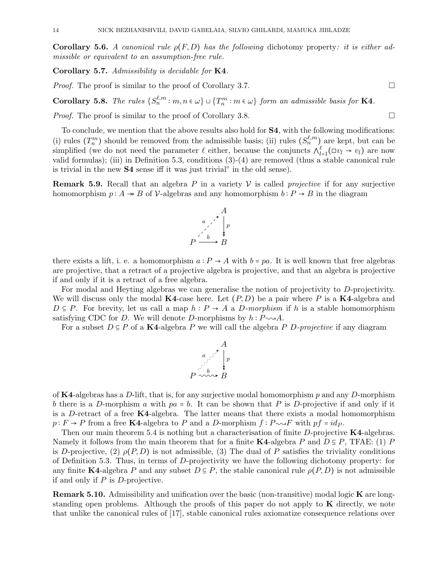**Corollary 5.6.** A canonical rule  $\rho(F, D)$  has the following dichotomy property: it is either admissible or equivalent to an assumption-free rule.

Corollary 5.7. Admissibility is decidable for K4.

*Proof.* The proof is similar to the proof of Corollary 3.7.

**Corollary 5.8.** The rules  $\{S_n^{\ell,m} : m, n \in \omega\} \cup \{T_n^m : m \in \omega\}$  form an admissible basis for **K4**.

*Proof.* The proof is similar to the proof of Corollary 3.8.  $\Box$ 

To conclude, we mention that the above results also hold for S4, with the following modifications: (i) rules  $(T_n^m)$  should be removed from the admissible basis; (ii) rules  $(S_n^{\ell,m})$  are kept, but can be simplified (we do not need the parameter  $\ell$  either, because the conjuncts  $\bigwedge_{l=1}^{\ell} (\Box v_l \to v_l)$  are now valid formulas); (iii) in Definition 5.3, conditions (3)-(4) are removed (thus a stable canonical rule is trivial in the new  $S4$  sense iff it was just trivial<sup> $\circ$ </sup> in the old sense).

**Remark 5.9.** Recall that an algebra P in a variety V is called *projective* if for any surjective homomorphism  $p: A \rightarrow B$  of  $\mathcal V$ -algebras and any homomorphism  $b: P \rightarrow B$  in the diagram



there exists a lift, i. e. a homomorphism  $a: P \to A$  with  $b = pa$ . It is well known that free algebras are projective, that a retract of a projective algebra is projective, and that an algebra is projective if and only if it is a retract of a free algebra.

For modal and Heyting algebras we can generalise the notion of projectivity to D-projectivity. We will discuss only the modal  $\mathbf{K4}$ -case here. Let  $(P, D)$  be a pair where P is a  $\mathbf{K4}$ -algebra and  $D \subseteq P$ . For brevity, let us call a map  $h : P \to A$  a D-morphism if h is a stable homomorphism satisfying CDC for D. We will denote D-morphisms by  $h : P \sim A$ .

For a subset  $D \subseteq P$  of a K4-algebra P we will call the algebra P D-projective if any diagram

$$
\begin{array}{c}\nA \\
a \\
\downarrow \\
P \sim \sim \rightarrow B\n\end{array}
$$

of K4-algebras has a D-lift, that is, for any surjective modal homomorphism p and any D-morphism b there is a D-morphism a with  $pa = b$ . It can be shown that P is D-projective if and only if it is a D-retract of a free  $K4$ -algebra. The latter means that there exists a modal homomorphism  $p : F \to P$  from a free K4-algebra to P and a D-morphism  $f : P \sim F$  with  $pf = idP$ .

Then our main theorem 5.4 is nothing but a characterisation of finite  $D$ -projective K4-algebras. Namely it follows from the main theorem that for a finite K4-algebra P and  $D \subseteq P$ , TFAE: (1) P is D-projective, (2)  $\rho(P, D)$  is not admissible, (3) The dual of P satisfies the triviality conditions of Definition 5.3. Thus, in terms of D-projectivity we have the following dichotomy property: for any finite K4-algebra P and any subset  $D \subseteq P$ , the stable canonical rule  $\rho(P, D)$  is not admissible if and only if  $P$  is  $D$ -projective.

Remark 5.10. Admissibility and unification over the basic (non-transitive) modal logic K are longstanding open problems. Although the proofs of this paper do not apply to  $\bf{K}$  directly, we note that unlike the canonical rules of [17], stable canonical rules axiomatize consequence relations over